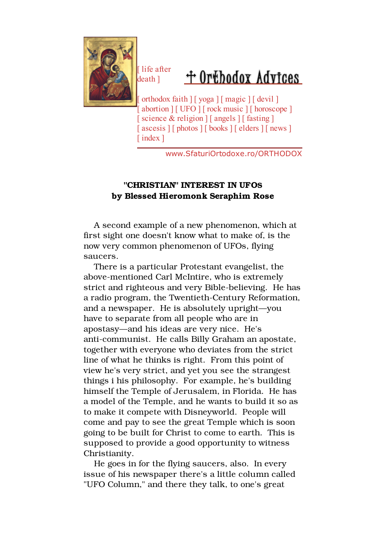

life after death ]

## + Orthodox Advices

[ orthodox faith ] [ yoga ] [ magic ] [ devil ] abortion  $\vert$  [ UFO  $\vert$  [ rock music  $\vert$  [ horoscope ] science & religion  $\vert$  [ angels  $\vert$  [ fasting ]  $\alpha$ scesis  $\iint$  photos  $\iint$  books  $\iint$  elders  $\iint$  news  $\iint$ index ]

www.SfaturiOrtodoxe.ro/ORTHODOX

## "CHRISTIAN" INTEREST IN UFOS by Blessed Hieromonk Seraphim Rose

 A second example of a new phenomenon, which at first sight one doesn't know what to make of, is the now very common phenomenon of UFOs, flying saucers.

 There is a particular Protestant evangelist, the above-mentioned Carl McIntire, who is extremely strict and righteous and very Bible-believing. He has a radio program, the Twentieth-Century Reformation, and a newspaper. He is absolutely upright—you have to separate from all people who are in apostasy—and his ideas are very nice. He's anti-communist. He calls Billy Graham an apostate, together with everyone who deviates from the strict line of what he thinks is right. From this point of view he's very strict, and yet you see the strangest things i his philosophy. For example, he's building himself the Temple of Jerusalem, in Florida. He has a model of the Temple, and he wants to build it so as to make it compete with Disneyworld. People will come and pay to see the great Temple which is soon going to be built for Christ to come to earth. This is supposed to provide a good opportunity to witness Christianity.

 He goes in for the flying saucers, also. In every issue of his newspaper there's a little column called "UFO Column," and there they talk, to one's great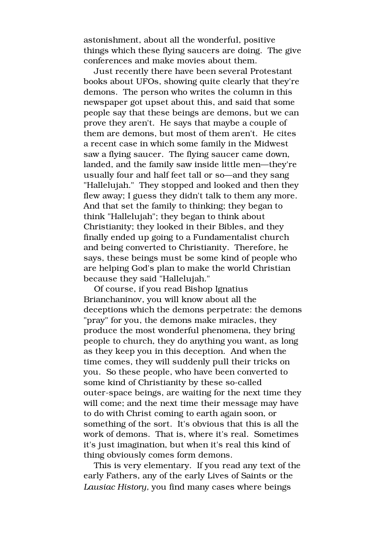astonishment, about all the wonderful, positive things which these flying saucers are doing. The give conferences and make movies about them.

 Just recently there have been several Protestant books about UFOs, showing quite clearly that they're demons. The person who writes the column in this newspaper got upset about this, and said that some people say that these beings are demons, but we can prove they aren't. He says that maybe a couple of them are demons, but most of them aren't. He cites a recent case in which some family in the Midwest saw a flying saucer. The flying saucer came down, landed, and the family saw inside little men—they're usually four and half feet tall or so—and they sang "Hallelujah." They stopped and looked and then they flew away; I guess they didn't talk to them any more. And that set the family to thinking; they began to think "Hallelujah"; they began to think about Christianity; they looked in their Bibles, and they finally ended up going to a Fundamentalist church and being converted to Christianity. Therefore, he says, these beings must be some kind of people who are helping God's plan to make the world Christian because they said "Hallelujah."

 Of course, if you read Bishop Ignatius Brianchaninov, you will know about all the deceptions which the demons perpetrate: the demons "pray" for you, the demons make miracles, they produce the most wonderful phenomena, they bring people to church, they do anything you want, as long as they keep you in this deception. And when the time comes, they will suddenly pull their tricks on you. So these people, who have been converted to some kind of Christianity by these so-called outer-space beings, are waiting for the next time they will come; and the next time their message may have to do with Christ coming to earth again soon, or something of the sort. It's obvious that this is all the work of demons. That is, where it's real. Sometimes it's just imagination, but when it's real this kind of thing obviously comes form demons.

 This is very elementary. If you read any text of the early Fathers, any of the early Lives of Saints or the Lausiac History, you find many cases where beings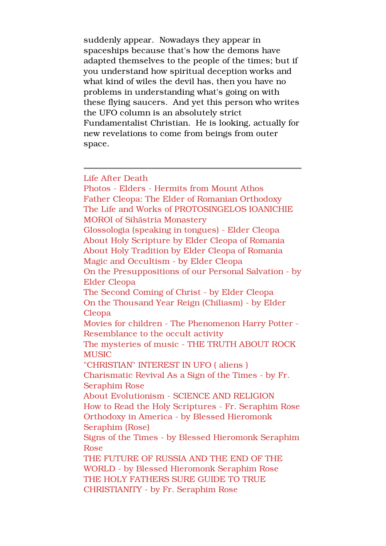suddenly appear. Nowadays they appear in spaceships because that's how the demons have adapted themselves to the people of the times; but if you understand how spiritual deception works and what kind of wiles the devil has, then you have no problems in understanding what's going on with these flying saucers. And yet this person who writes the UFO column is an absolutely strict Fundamentalist Christian. He is looking, actually for new revelations to come from beings from outer space.

Life After Death

Photos - Elders - Hermits from Mount Athos Father Cleopa: The Elder of Romanian Orthodoxy The Life and Works of PROTOSINGELOS IOANICHIE MOROI of Sihãstria Monastery Glossologia (speaking in tongues) - Elder Cleopa About Holy Scripture by Elder Cleopa of Romania About Holy Tradition by Elder Cleopa of Romania Magic and Occultism - by Elder Cleopa On the Presuppositions of our Personal Salvation - by Elder Cleopa The Second Coming of Christ - by Elder Cleopa On the Thousand Year Reign (Chiliasm) - by Elder Cleopa Movies for children - The Phenomenon Harry Potter - Resemblance to the occult activity The mysteries of music - THE TRUTH ABOUT ROCK **MUSIC** "CHRISTIAN" INTEREST IN UFO ( aliens ) Charismatic Revival As a Sign of the Times - by Fr. Seraphim Rose About Evolutionism - SCIENCE AND RELIGION How to Read the Holy Scriptures - Fr. Seraphim Rose Orthodoxy in America - by Blessed Hieromonk Seraphim (Rose) Signs of the Times - by Blessed Hieromonk Seraphim Rose THE FUTURE OF RUSSIA AND THE END OF THE WORLD - by Blessed Hieromonk Seraphim Rose THE HOLY FATHERS SURE GUIDE TO TRUE CHRISTIANITY - by Fr. Seraphim Rose